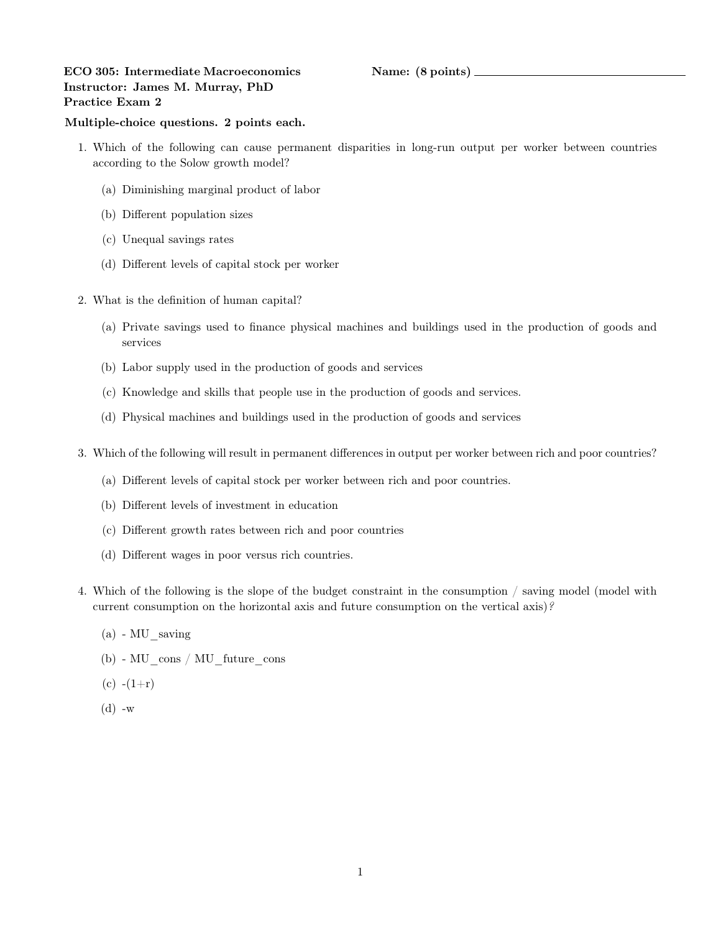## ECO 305: Intermediate Macroeconomics Name: (8 points) Instructor: James M. Murray, PhD Practice Exam 2

## Multiple-choice questions. 2 points each.

- 1. Which of the following can cause permanent disparities in long-run output per worker between countries according to the Solow growth model?
	- (a) Diminishing marginal product of labor
	- (b) Different population sizes
	- (c) Unequal savings rates
	- (d) Different levels of capital stock per worker
- 2. What is the definition of human capital?
	- (a) Private savings used to finance physical machines and buildings used in the production of goods and services
	- (b) Labor supply used in the production of goods and services
	- (c) Knowledge and skills that people use in the production of goods and services.
	- (d) Physical machines and buildings used in the production of goods and services
- 3. Which of the following will result in permanent differences in output per worker between rich and poor countries?
	- (a) Different levels of capital stock per worker between rich and poor countries.
	- (b) Different levels of investment in education
	- (c) Different growth rates between rich and poor countries
	- (d) Different wages in poor versus rich countries.
- 4. Which of the following is the slope of the budget constraint in the consumption / saving model (model with current consumption on the horizontal axis and future consumption on the vertical axis)?
	- $(a)$  MU saving
	- (b)  $\rm MU\_cons$  /  $\rm MU\_future\_cons$
	- $(c)$  - $(1+r)$
	- $(d)$  -w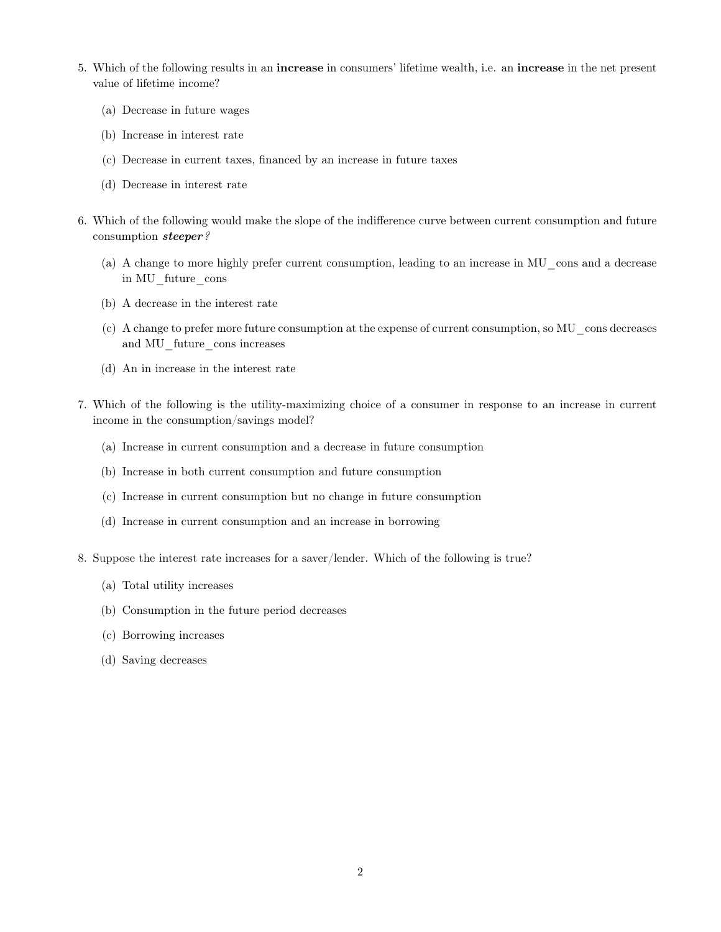- 5. Which of the following results in an increase in consumers' lifetime wealth, i.e. an increase in the net present value of lifetime income?
	- (a) Decrease in future wages
	- (b) Increase in interest rate
	- (c) Decrease in current taxes, financed by an increase in future taxes
	- (d) Decrease in interest rate
- 6. Which of the following would make the slope of the indifference curve between current consumption and future consumption steeper?
	- (a) A change to more highly prefer current consumption, leading to an increase in MU\_cons and a decrease in MU\_future\_cons
	- (b) A decrease in the interest rate
	- (c) A change to prefer more future consumption at the expense of current consumption, so MU\_cons decreases and MU\_future\_cons increases
	- (d) An in increase in the interest rate
- 7. Which of the following is the utility-maximizing choice of a consumer in response to an increase in current income in the consumption/savings model?
	- (a) Increase in current consumption and a decrease in future consumption
	- (b) Increase in both current consumption and future consumption
	- (c) Increase in current consumption but no change in future consumption
	- (d) Increase in current consumption and an increase in borrowing
- 8. Suppose the interest rate increases for a saver/lender. Which of the following is true?
	- (a) Total utility increases
	- (b) Consumption in the future period decreases
	- (c) Borrowing increases
	- (d) Saving decreases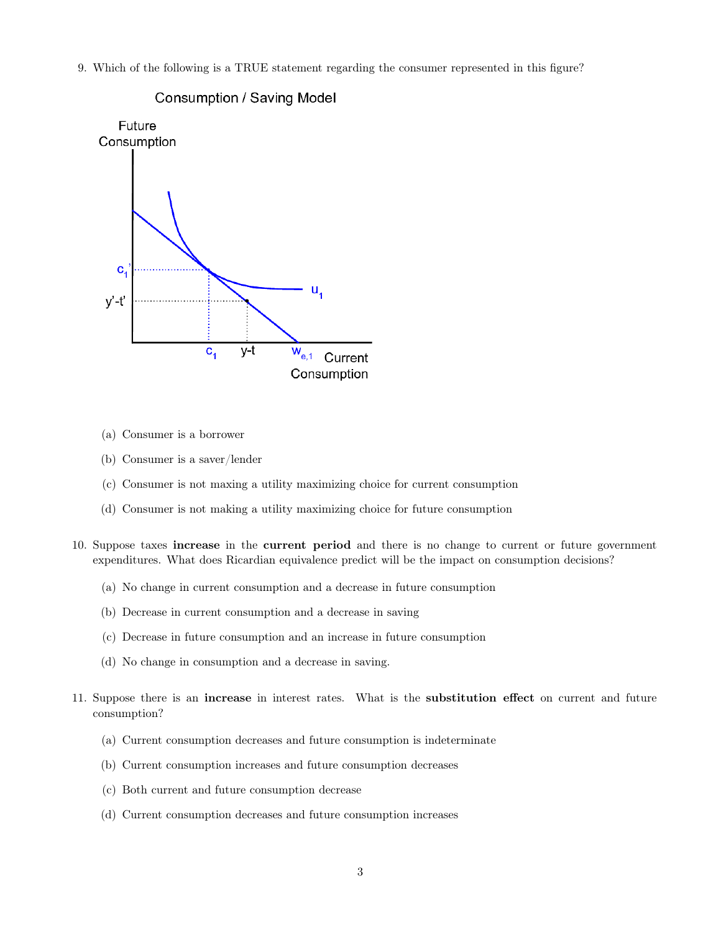9. Which of the following is a TRUE statement regarding the consumer represented in this figure?



Consumption / Saving Model

- (a) Consumer is a borrower
- (b) Consumer is a saver/lender
- (c) Consumer is not maxing a utility maximizing choice for current consumption
- (d) Consumer is not making a utility maximizing choice for future consumption
- 10. Suppose taxes increase in the current period and there is no change to current or future government expenditures. What does Ricardian equivalence predict will be the impact on consumption decisions?
	- (a) No change in current consumption and a decrease in future consumption
	- (b) Decrease in current consumption and a decrease in saving
	- (c) Decrease in future consumption and an increase in future consumption
	- (d) No change in consumption and a decrease in saving.
- 11. Suppose there is an increase in interest rates. What is the substitution effect on current and future consumption?
	- (a) Current consumption decreases and future consumption is indeterminate
	- (b) Current consumption increases and future consumption decreases
	- (c) Both current and future consumption decrease
	- (d) Current consumption decreases and future consumption increases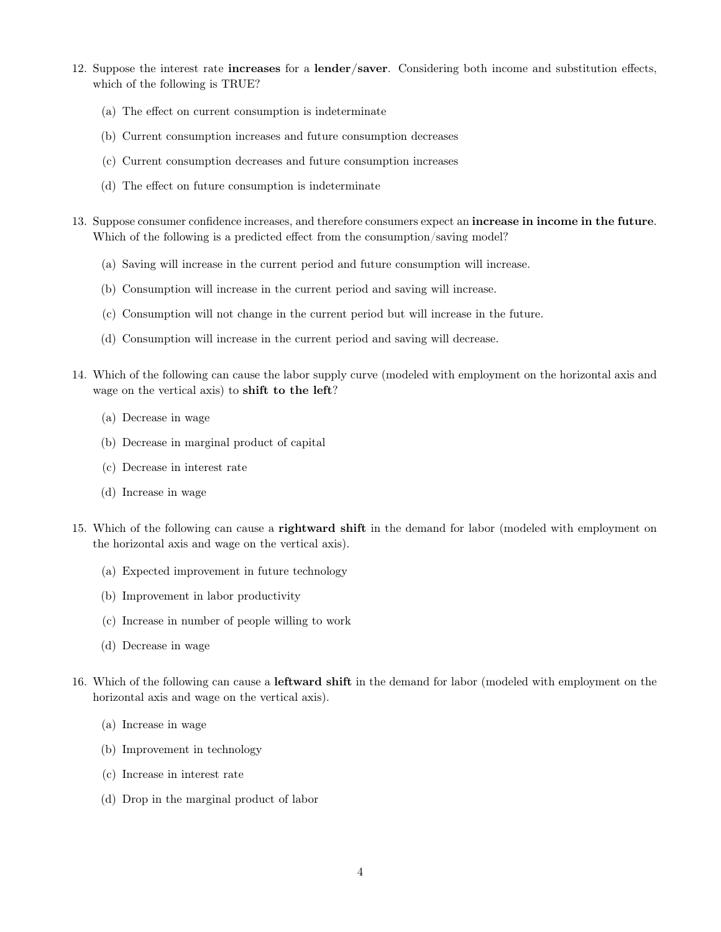- 12. Suppose the interest rate increases for a lender/saver. Considering both income and substitution effects, which of the following is TRUE?
	- (a) The effect on current consumption is indeterminate
	- (b) Current consumption increases and future consumption decreases
	- (c) Current consumption decreases and future consumption increases
	- (d) The effect on future consumption is indeterminate
- 13. Suppose consumer confidence increases, and therefore consumers expect an increase in income in the future. Which of the following is a predicted effect from the consumption/saving model?
	- (a) Saving will increase in the current period and future consumption will increase.
	- (b) Consumption will increase in the current period and saving will increase.
	- (c) Consumption will not change in the current period but will increase in the future.
	- (d) Consumption will increase in the current period and saving will decrease.
- 14. Which of the following can cause the labor supply curve (modeled with employment on the horizontal axis and wage on the vertical axis) to shift to the left?
	- (a) Decrease in wage
	- (b) Decrease in marginal product of capital
	- (c) Decrease in interest rate
	- (d) Increase in wage
- 15. Which of the following can cause a rightward shift in the demand for labor (modeled with employment on the horizontal axis and wage on the vertical axis).
	- (a) Expected improvement in future technology
	- (b) Improvement in labor productivity
	- (c) Increase in number of people willing to work
	- (d) Decrease in wage
- 16. Which of the following can cause a leftward shift in the demand for labor (modeled with employment on the horizontal axis and wage on the vertical axis).
	- (a) Increase in wage
	- (b) Improvement in technology
	- (c) Increase in interest rate
	- (d) Drop in the marginal product of labor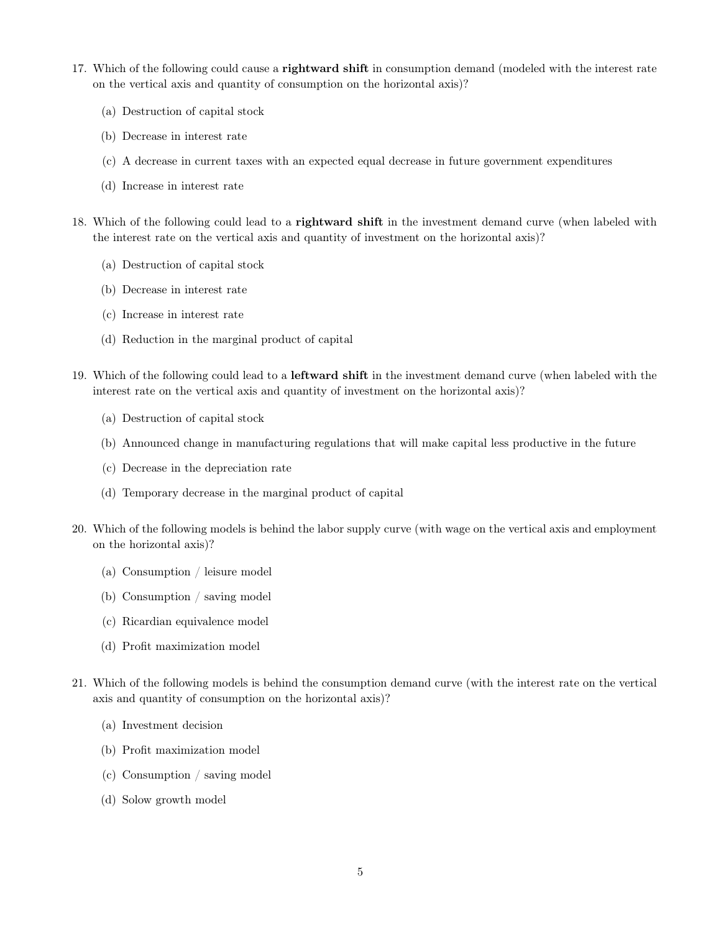- 17. Which of the following could cause a **rightward shift** in consumption demand (modeled with the interest rate on the vertical axis and quantity of consumption on the horizontal axis)?
	- (a) Destruction of capital stock
	- (b) Decrease in interest rate
	- (c) A decrease in current taxes with an expected equal decrease in future government expenditures
	- (d) Increase in interest rate
- 18. Which of the following could lead to a rightward shift in the investment demand curve (when labeled with the interest rate on the vertical axis and quantity of investment on the horizontal axis)?
	- (a) Destruction of capital stock
	- (b) Decrease in interest rate
	- (c) Increase in interest rate
	- (d) Reduction in the marginal product of capital
- 19. Which of the following could lead to a leftward shift in the investment demand curve (when labeled with the interest rate on the vertical axis and quantity of investment on the horizontal axis)?
	- (a) Destruction of capital stock
	- (b) Announced change in manufacturing regulations that will make capital less productive in the future
	- (c) Decrease in the depreciation rate
	- (d) Temporary decrease in the marginal product of capital
- 20. Which of the following models is behind the labor supply curve (with wage on the vertical axis and employment on the horizontal axis)?
	- (a) Consumption / leisure model
	- (b) Consumption / saving model
	- (c) Ricardian equivalence model
	- (d) Profit maximization model
- 21. Which of the following models is behind the consumption demand curve (with the interest rate on the vertical axis and quantity of consumption on the horizontal axis)?
	- (a) Investment decision
	- (b) Profit maximization model
	- (c) Consumption / saving model
	- (d) Solow growth model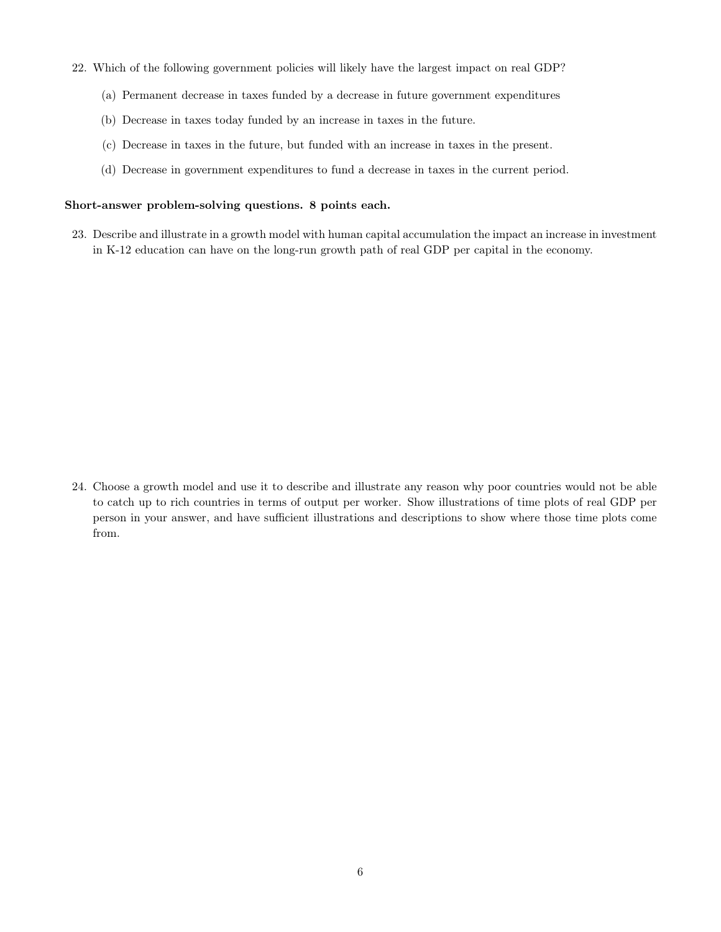- 22. Which of the following government policies will likely have the largest impact on real GDP?
	- (a) Permanent decrease in taxes funded by a decrease in future government expenditures
	- (b) Decrease in taxes today funded by an increase in taxes in the future.
	- (c) Decrease in taxes in the future, but funded with an increase in taxes in the present.
	- (d) Decrease in government expenditures to fund a decrease in taxes in the current period.

## Short-answer problem-solving questions. 8 points each.

23. Describe and illustrate in a growth model with human capital accumulation the impact an increase in investment in K-12 education can have on the long-run growth path of real GDP per capital in the economy.

24. Choose a growth model and use it to describe and illustrate any reason why poor countries would not be able to catch up to rich countries in terms of output per worker. Show illustrations of time plots of real GDP per person in your answer, and have sufficient illustrations and descriptions to show where those time plots come from.